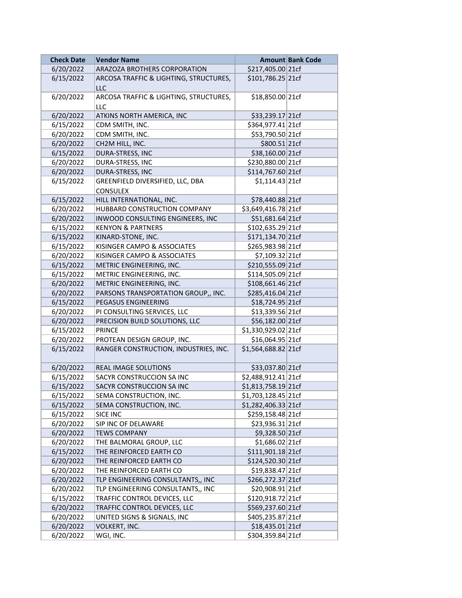| <b>Check Date</b> | <b>Vendor Name</b>                                  |                      | <b>Amount Bank Code</b> |
|-------------------|-----------------------------------------------------|----------------------|-------------------------|
| 6/20/2022         | ARAZOZA BROTHERS CORPORATION                        | \$217,405.00 21cf    |                         |
| 6/15/2022         | ARCOSA TRAFFIC & LIGHTING, STRUCTURES,<br>LLC       | \$101,786.25 21cf    |                         |
| 6/20/2022         | ARCOSA TRAFFIC & LIGHTING, STRUCTURES,<br>LLC       | \$18,850.00 21cf     |                         |
| 6/20/2022         | ATKINS NORTH AMERICA, INC                           | \$33,239.17 21cf     |                         |
| 6/15/2022         | CDM SMITH, INC.                                     | \$364,977.41 21cf    |                         |
| 6/20/2022         | CDM SMITH, INC.                                     | \$53,790.50 21cf     |                         |
| 6/20/2022         | CH2M HILL, INC.                                     | \$800.51 21cf        |                         |
| 6/15/2022         | DURA-STRESS, INC                                    | \$38,160.00 21cf     |                         |
| 6/20/2022         | DURA-STRESS, INC                                    | \$230,880.00 21cf    |                         |
| 6/20/2022         | DURA-STRESS, INC                                    | \$114,767.60 21cf    |                         |
| 6/15/2022         | GREENFIELD DIVERSIFIED, LLC, DBA<br><b>CONSULEX</b> | $$1,114.43$ 21cf     |                         |
| 6/15/2022         | HILL INTERNATIONAL, INC.                            | \$78,440.88 21cf     |                         |
| 6/20/2022         | HUBBARD CONSTRUCTION COMPANY                        | \$3,649,416.78 21cf  |                         |
| 6/20/2022         | INWOOD CONSULTING ENGINEERS, INC                    | \$51,681.64 21cf     |                         |
| 6/15/2022         | <b>KENYON &amp; PARTNERS</b>                        | \$102,635.29 21cf    |                         |
| 6/15/2022         | KINARD-STONE, INC.                                  | \$171,134.70 21cf    |                         |
| 6/15/2022         | KISINGER CAMPO & ASSOCIATES                         | \$265,983.98 21cf    |                         |
| 6/20/2022         | KISINGER CAMPO & ASSOCIATES                         | \$7,109.32 21cf      |                         |
| 6/15/2022         | METRIC ENGINEERING, INC.                            | \$210,555.09 21cf    |                         |
| 6/15/2022         | METRIC ENGINEERING, INC.                            | \$114,505.09 21cf    |                         |
| 6/20/2022         | METRIC ENGINEERING, INC.                            | \$108,661.46 21cf    |                         |
| 6/20/2022         | PARSONS TRANSPORTATION GROUP,, INC.                 | \$285,416.04 21cf    |                         |
| 6/15/2022         | PEGASUS ENGINEERING                                 | \$18,724.95 21cf     |                         |
| 6/20/2022         | PI CONSULTING SERVICES, LLC                         | \$13,339.56 21cf     |                         |
| 6/20/2022         | PRECISION BUILD SOLUTIONS, LLC                      | \$56,182.00 21cf     |                         |
| 6/15/2022         | <b>PRINCE</b>                                       | \$1,330,929.02 21cf  |                         |
| 6/20/2022         | PROTEAN DESIGN GROUP, INC.                          | \$16,064.95 21cf     |                         |
| 6/15/2022         | RANGER CONSTRUCTION, INDUSTRIES, INC.               | \$1,564,688.82 21cf  |                         |
| 6/20/2022         | REAL IMAGE SOLUTIONS                                | \$33,037.80 21cf     |                         |
| 6/15/2022         | SACYR CONSTRUCCION SA INC                           | \$2,488,912.41 21cf  |                         |
| 6/15/2022         | SACYR CONSTRUCCION SA INC                           | \$1,813,758.19 21cf  |                         |
| 6/15/2022         | SEMA CONSTRUCTION, INC.                             | \$1,703,128.45 21cf  |                         |
| 6/15/2022         | SEMA CONSTRUCTION, INC.                             | $$1,282,406.33$ 21cf |                         |
| 6/15/2022         | SICE INC                                            | \$259,158.48 21cf    |                         |
| 6/20/2022         | SIP INC OF DELAWARE                                 | \$23,936.31 21cf     |                         |
| 6/20/2022         | <b>TEWS COMPANY</b>                                 | \$9,328.50 21cf      |                         |
| 6/20/2022         | THE BALMORAL GROUP, LLC                             | \$1,686.02 21cf      |                         |
| 6/15/2022         | THE REINFORCED EARTH CO                             | \$111,901.18 21cf    |                         |
| 6/20/2022         | THE REINFORCED EARTH CO                             | \$124,520.30 21cf    |                         |
| 6/20/2022         | THE REINFORCED EARTH CO                             | \$19,838.47 21cf     |                         |
| 6/20/2022         | TLP ENGINEERING CONSULTANTS,, INC                   | \$266,272.37 21cf    |                         |
| 6/20/2022         | TLP ENGINEERING CONSULTANTS,, INC                   | \$20,908.91 21cf     |                         |
| 6/15/2022         | TRAFFIC CONTROL DEVICES, LLC                        | \$120,918.72 21cf    |                         |
| 6/20/2022         | TRAFFIC CONTROL DEVICES, LLC                        | \$569,237.60 21cf    |                         |
| 6/20/2022         | UNITED SIGNS & SIGNALS, INC                         | \$405,235.87 21cf    |                         |
| 6/20/2022         | VOLKERT, INC.                                       | \$18,435.01 21cf     |                         |
| 6/20/2022         | WGI, INC.                                           | \$304,359.84 21cf    |                         |